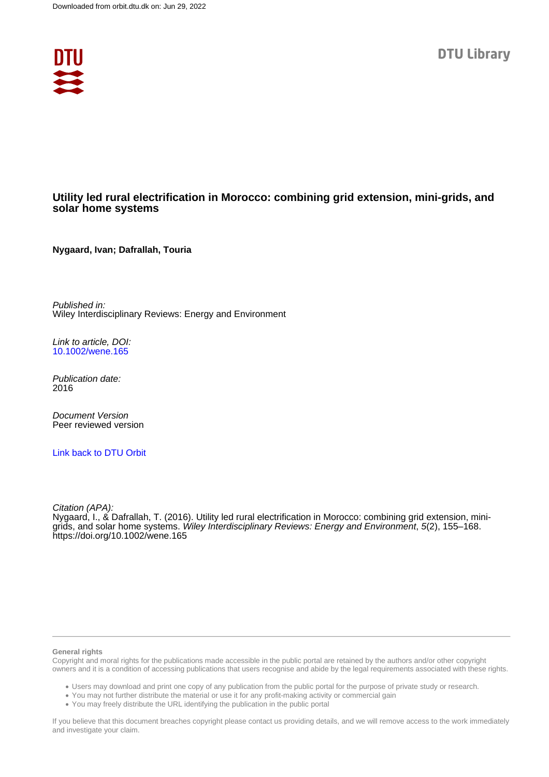

## **Utility led rural electrification in Morocco: combining grid extension, mini-grids, and solar home systems**

**Nygaard, Ivan; Dafrallah, Touria**

Published in: Wiley Interdisciplinary Reviews: Energy and Environment

Link to article, DOI: [10.1002/wene.165](https://doi.org/10.1002/wene.165)

Publication date: 2016

Document Version Peer reviewed version

[Link back to DTU Orbit](https://orbit.dtu.dk/en/publications/800046cc-d151-4498-b797-aa28e9066b72)

Citation (APA): Nygaard, I., & Dafrallah, T. (2016). Utility led rural electrification in Morocco: combining grid extension, minigrids, and solar home systems. Wiley Interdisciplinary Reviews: Energy and Environment, 5(2), 155-168. <https://doi.org/10.1002/wene.165>

#### **General rights**

Copyright and moral rights for the publications made accessible in the public portal are retained by the authors and/or other copyright owners and it is a condition of accessing publications that users recognise and abide by the legal requirements associated with these rights.

Users may download and print one copy of any publication from the public portal for the purpose of private study or research.

- You may not further distribute the material or use it for any profit-making activity or commercial gain
- You may freely distribute the URL identifying the publication in the public portal

If you believe that this document breaches copyright please contact us providing details, and we will remove access to the work immediately and investigate your claim.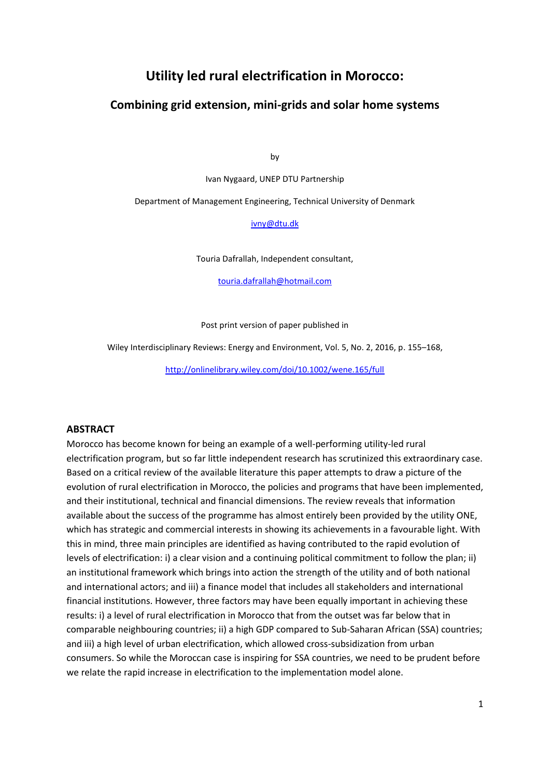# **Utility led rural electrification in Morocco:**

## **Combining grid extension, mini-grids and solar home systems**

by

Ivan Nygaard, UNEP DTU Partnership

Department of Management Engineering, Technical University of Denmark

[ivny@dtu.dk](mailto:ivny@dtu.dk)

Touria Dafrallah, Independent consultant,

[touria.dafrallah@hotmail.com](mailto:touria.dafrallah@hotmail.com)

Post print version of paper published in

Wiley Interdisciplinary Reviews: Energy and Environment, Vol. 5, No. 2, 2016, p. 155–168,

<http://onlinelibrary.wiley.com/doi/10.1002/wene.165/full>

## **ABSTRACT**

Morocco has become known for being an example of a well-performing utility-led rural electrification program, but so far little independent research has scrutinized this extraordinary case. Based on a critical review of the available literature this paper attempts to draw a picture of the evolution of rural electrification in Morocco, the policies and programs that have been implemented, and their institutional, technical and financial dimensions. The review reveals that information available about the success of the programme has almost entirely been provided by the utility ONE, which has strategic and commercial interests in showing its achievements in a favourable light. With this in mind, three main principles are identified as having contributed to the rapid evolution of levels of electrification: i) a clear vision and a continuing political commitment to follow the plan; ii) an institutional framework which brings into action the strength of the utility and of both national and international actors; and iii) a finance model that includes all stakeholders and international financial institutions. However, three factors may have been equally important in achieving these results: i) a level of rural electrification in Morocco that from the outset was far below that in comparable neighbouring countries; ii) a high GDP compared to Sub-Saharan African (SSA) countries; and iii) a high level of urban electrification, which allowed cross-subsidization from urban consumers. So while the Moroccan case is inspiring for SSA countries, we need to be prudent before we relate the rapid increase in electrification to the implementation model alone.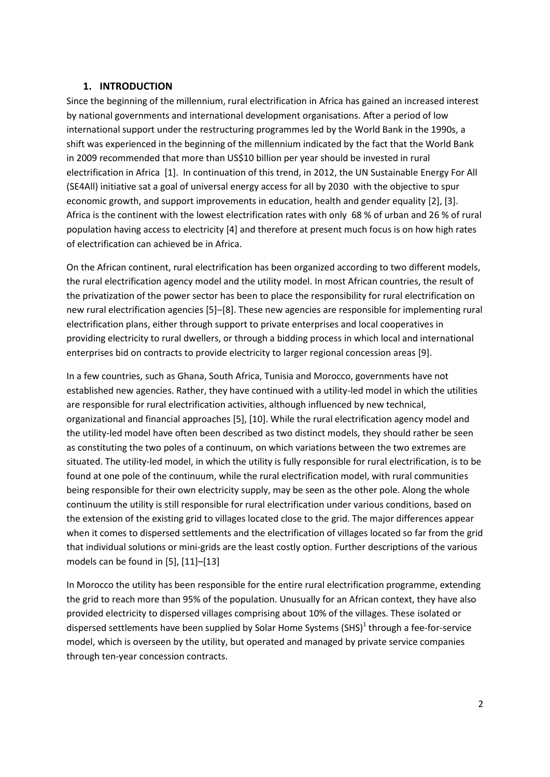#### **1. INTRODUCTION**

Since the beginning of the millennium, rural electrification in Africa has gained an increased interest by national governments and international development organisations. After a period of low international support under the restructuring programmes led by the World Bank in the 1990s, a shift was experienced in the beginning of the millennium indicated by the fact that the World Bank in 2009 recommended that more than US\$10 billion per year should be invested in rural electrification in Africa [1]. In continuation of this trend, in 2012, the UN Sustainable Energy For All (SE4All) initiative sat a goal of universal energy access for all by 2030 with the objective to spur economic growth, and support improvements in education, health and gender equality [2], [3]. Africa is the continent with the lowest electrification rates with only 68 % of urban and 26 % of rural population having access to electricity [4] and therefore at present much focus is on how high rates of electrification can achieved be in Africa.

On the African continent, rural electrification has been organized according to two different models, the rural electrification agency model and the utility model. In most African countries, the result of the privatization of the power sector has been to place the responsibility for rural electrification on new rural electrification agencies [5]–[8]. These new agencies are responsible for implementing rural electrification plans, either through support to private enterprises and local cooperatives in providing electricity to rural dwellers, or through a bidding process in which local and international enterprises bid on contracts to provide electricity to larger regional concession areas [9].

In a few countries, such as Ghana, South Africa, Tunisia and Morocco, governments have not established new agencies. Rather, they have continued with a utility-led model in which the utilities are responsible for rural electrification activities, although influenced by new technical, organizational and financial approaches [5], [10]. While the rural electrification agency model and the utility-led model have often been described as two distinct models, they should rather be seen as constituting the two poles of a continuum, on which variations between the two extremes are situated. The utility-led model, in which the utility is fully responsible for rural electrification, is to be found at one pole of the continuum, while the rural electrification model, with rural communities being responsible for their own electricity supply, may be seen as the other pole. Along the whole continuum the utility is still responsible for rural electrification under various conditions, based on the extension of the existing grid to villages located close to the grid. The major differences appear when it comes to dispersed settlements and the electrification of villages located so far from the grid that individual solutions or mini-grids are the least costly option. Further descriptions of the various models can be found in [5], [11]–[13]

In Morocco the utility has been responsible for the entire rural electrification programme, extending the grid to reach more than 95% of the population. Unusually for an African context, they have also provided electricity to dispersed villages comprising about 10% of the villages. These isolated or dispersed settlements have been supplied by Solar Home Systems (SHS)<sup>1</sup> through a fee-for-service model, which is overseen by the utility, but operated and managed by private service companies through ten-year concession contracts.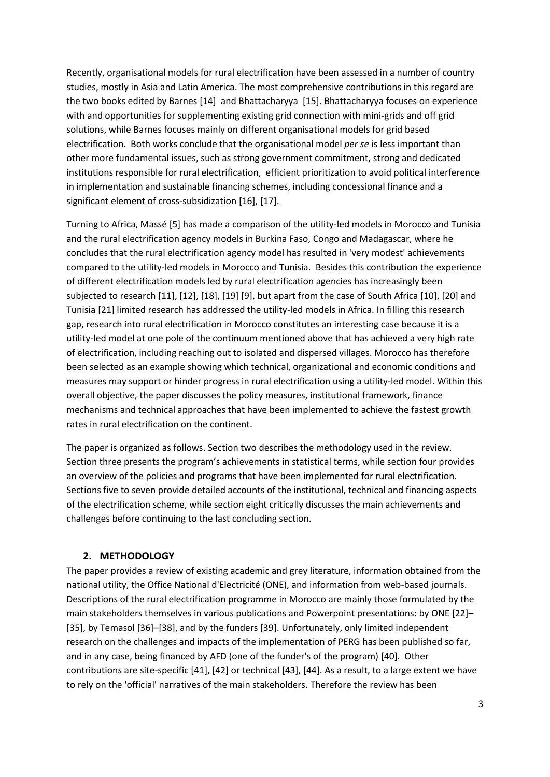Recently, organisational models for rural electrification have been assessed in a number of country studies, mostly in Asia and Latin America. The most comprehensive contributions in this regard are the two books edited by Barnes [14] and Bhattacharyya [15]. Bhattacharyya focuses on experience with and opportunities for supplementing existing grid connection with mini-grids and off grid solutions, while Barnes focuses mainly on different organisational models for grid based electrification. Both works conclude that the organisational model *per se* is less important than other more fundamental issues, such as strong government commitment, strong and dedicated institutions responsible for rural electrification, efficient prioritization to avoid political interference in implementation and sustainable financing schemes, including concessional finance and a significant element of cross-subsidization [16], [17].

Turning to Africa, Massé [5] has made a comparison of the utility-led models in Morocco and Tunisia and the rural electrification agency models in Burkina Faso, Congo and Madagascar, where he concludes that the rural electrification agency model has resulted in 'very modest' achievements compared to the utility-led models in Morocco and Tunisia. Besides this contribution the experience of different electrification models led by rural electrification agencies has increasingly been subjected to research [11], [12], [18], [19] [9], but apart from the case of South Africa [10], [20] and Tunisia [21] limited research has addressed the utility-led models in Africa. In filling this research gap, research into rural electrification in Morocco constitutes an interesting case because it is a utility-led model at one pole of the continuum mentioned above that has achieved a very high rate of electrification, including reaching out to isolated and dispersed villages. Morocco has therefore been selected as an example showing which technical, organizational and economic conditions and measures may support or hinder progress in rural electrification using a utility-led model. Within this overall objective, the paper discusses the policy measures, institutional framework, finance mechanisms and technical approaches that have been implemented to achieve the fastest growth rates in rural electrification on the continent.

The paper is organized as follows. Section two describes the methodology used in the review. Section three presents the program's achievements in statistical terms, while section four provides an overview of the policies and programs that have been implemented for rural electrification. Sections five to seven provide detailed accounts of the institutional, technical and financing aspects of the electrification scheme, while section eight critically discusses the main achievements and challenges before continuing to the last concluding section.

## **2. METHODOLOGY**

The paper provides a review of existing academic and grey literature, information obtained from the national utility, the Office National d'Electricité (ONE), and information from web-based journals. Descriptions of the rural electrification programme in Morocco are mainly those formulated by the main stakeholders themselves in various publications and Powerpoint presentations: by ONE [22]– [35], by Temasol [36]–[38], and by the funders [39]. Unfortunately, only limited independent research on the challenges and impacts of the implementation of PERG has been published so far, and in any case, being financed by AFD (one of the funder's of the program) [40]. Other contributions are site-specific [41], [42] or technical [43], [44]. As a result, to a large extent we have to rely on the 'official' narratives of the main stakeholders. Therefore the review has been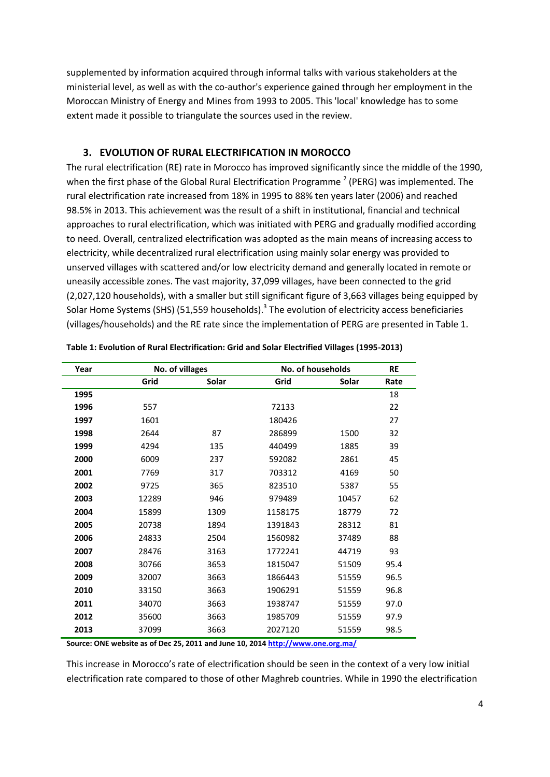supplemented by information acquired through informal talks with various stakeholders at the ministerial level, as well as with the co-author's experience gained through her employment in the Moroccan Ministry of Energy and Mines from 1993 to 2005. This 'local' knowledge has to some extent made it possible to triangulate the sources used in the review.

## **3. EVOLUTION OF RURAL ELECTRIFICATION IN MOROCCO**

The rural electrification (RE) rate in Morocco has improved significantly since the middle of the 1990, when the first phase of the Global Rural Electrification Programme<sup>2</sup> (PERG) was implemented. The rural electrification rate increased from 18% in 1995 to 88% ten years later (2006) and reached 98.5% in 2013. This achievement was the result of a shift in institutional, financial and technical approaches to rural electrification, which was initiated with PERG and gradually modified according to need. Overall, centralized electrification was adopted as the main means of increasing access to electricity, while decentralized rural electrification using mainly solar energy was provided to unserved villages with scattered and/or low electricity demand and generally located in remote or uneasily accessible zones. The vast majority, 37,099 villages, have been connected to the grid (2,027,120 households), with a smaller but still significant figure of 3,663 villages being equipped by Solar Home Systems (SHS) (51,559 households).<sup>3</sup> The evolution of electricity access beneficiaries (villages/households) and the RE rate since the implementation of PERG are presented in Table 1.

| Year | No. of villages |       | No. of households |       | <b>RE</b> |
|------|-----------------|-------|-------------------|-------|-----------|
|      | Grid            | Solar | Grid              | Solar | Rate      |
| 1995 |                 |       |                   |       | 18        |
| 1996 | 557             |       | 72133             |       | 22        |
| 1997 | 1601            |       | 180426            |       | 27        |
| 1998 | 2644            | 87    | 286899            | 1500  | 32        |
| 1999 | 4294            | 135   | 440499            | 1885  | 39        |
| 2000 | 6009            | 237   | 592082            | 2861  | 45        |
| 2001 | 7769            | 317   | 703312            | 4169  | 50        |
| 2002 | 9725            | 365   | 823510            | 5387  | 55        |
| 2003 | 12289           | 946   | 979489            | 10457 | 62        |
| 2004 | 15899           | 1309  | 1158175           | 18779 | 72        |
| 2005 | 20738           | 1894  | 1391843           | 28312 | 81        |
| 2006 | 24833           | 2504  | 1560982           | 37489 | 88        |
| 2007 | 28476           | 3163  | 1772241           | 44719 | 93        |
| 2008 | 30766           | 3653  | 1815047           | 51509 | 95.4      |
| 2009 | 32007           | 3663  | 1866443           | 51559 | 96.5      |
| 2010 | 33150           | 3663  | 1906291           | 51559 | 96.8      |
| 2011 | 34070           | 3663  | 1938747           | 51559 | 97.0      |
| 2012 | 35600           | 3663  | 1985709           | 51559 | 97.9      |
| 2013 | 37099           | 3663  | 2027120           | 51559 | 98.5      |

| Table 1: Evolution of Rural Electrification: Grid and Solar Electrified Villages (1995-2013) |  |  |  |
|----------------------------------------------------------------------------------------------|--|--|--|
|                                                                                              |  |  |  |

**Source: ONE website as of Dec 25, 2011 and June 10, 201[4 http://www.one.org.ma/](http://www.one.org.ma/)**

This increase in Morocco's rate of electrification should be seen in the context of a very low initial electrification rate compared to those of other Maghreb countries. While in 1990 the electrification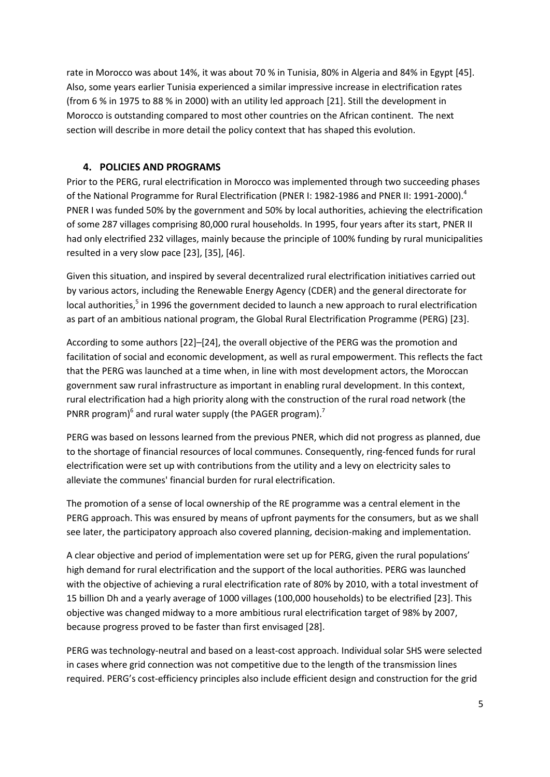rate in Morocco was about 14%, it was about 70 % in Tunisia, 80% in Algeria and 84% in Egypt [45]. Also, some years earlier Tunisia experienced a similar impressive increase in electrification rates (from 6 % in 1975 to 88 % in 2000) with an utility led approach [21]. Still the development in Morocco is outstanding compared to most other countries on the African continent. The next section will describe in more detail the policy context that has shaped this evolution.

## **4. POLICIES AND PROGRAMS**

Prior to the PERG, rural electrification in Morocco was implemented through two succeeding phases of the National Programme for Rural Electrification (PNER I: 1982-1986 and PNER II: 1991-2000).<sup>4</sup> PNER I was funded 50% by the government and 50% by local authorities, achieving the electrification of some 287 villages comprising 80,000 rural households. In 1995, four years after its start, PNER II had only electrified 232 villages, mainly because the principle of 100% funding by rural municipalities resulted in a very slow pace [23], [35], [46].

Given this situation, and inspired by several decentralized rural electrification initiatives carried out by various actors, including the Renewable Energy Agency (CDER) and the general directorate for local authorities,<sup>5</sup> in 1996 the government decided to launch a new approach to rural electrification as part of an ambitious national program, the Global Rural Electrification Programme (PERG) [23].

According to some authors [22]–[24], the overall objective of the PERG was the promotion and facilitation of social and economic development, as well as rural empowerment. This reflects the fact that the PERG was launched at a time when, in line with most development actors, the Moroccan government saw rural infrastructure as important in enabling rural development. In this context, rural electrification had a high priority along with the construction of the rural road network (the PNRR program) $^6$  and rural water supply (the PAGER program).<sup>7</sup>

PERG was based on lessons learned from the previous PNER, which did not progress as planned, due to the shortage of financial resources of local communes. Consequently, ring-fenced funds for rural electrification were set up with contributions from the utility and a levy on electricity sales to alleviate the communes' financial burden for rural electrification.

The promotion of a sense of local ownership of the RE programme was a central element in the PERG approach. This was ensured by means of upfront payments for the consumers, but as we shall see later, the participatory approach also covered planning, decision-making and implementation.

A clear objective and period of implementation were set up for PERG, given the rural populations' high demand for rural electrification and the support of the local authorities. PERG was launched with the objective of achieving a rural electrification rate of 80% by 2010, with a total investment of 15 billion Dh and a yearly average of 1000 villages (100,000 households) to be electrified [23]. This objective was changed midway to a more ambitious rural electrification target of 98% by 2007, because progress proved to be faster than first envisaged [28].

PERG was technology-neutral and based on a least-cost approach. Individual solar SHS were selected in cases where grid connection was not competitive due to the length of the transmission lines required. PERG's cost-efficiency principles also include efficient design and construction for the grid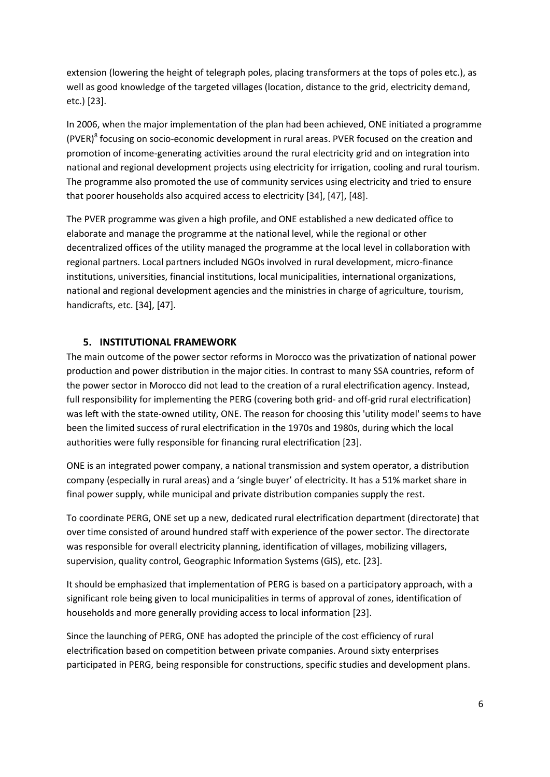extension (lowering the height of telegraph poles, placing transformers at the tops of poles etc.), as well as good knowledge of the targeted villages (location, distance to the grid, electricity demand, etc.) [23].

In 2006, when the major implementation of the plan had been achieved, ONE initiated a programme (PVER)<sup>8</sup> focusing on socio-economic development in rural areas. PVER focused on the creation and promotion of income-generating activities around the rural electricity grid and on integration into national and regional development projects using electricity for irrigation, cooling and rural tourism. The programme also promoted the use of community services using electricity and tried to ensure that poorer households also acquired access to electricity [34], [47], [48].

The PVER programme was given a high profile, and ONE established a new dedicated office to elaborate and manage the programme at the national level, while the regional or other decentralized offices of the utility managed the programme at the local level in collaboration with regional partners. Local partners included NGOs involved in rural development, micro-finance institutions, universities, financial institutions, local municipalities, international organizations, national and regional development agencies and the ministries in charge of agriculture, tourism, handicrafts, etc. [34], [47].

## **5. INSTITUTIONAL FRAMEWORK**

The main outcome of the power sector reforms in Morocco was the privatization of national power production and power distribution in the major cities. In contrast to many SSA countries, reform of the power sector in Morocco did not lead to the creation of a rural electrification agency. Instead, full responsibility for implementing the PERG (covering both grid- and off-grid rural electrification) was left with the state-owned utility, ONE. The reason for choosing this 'utility model' seems to have been the limited success of rural electrification in the 1970s and 1980s, during which the local authorities were fully responsible for financing rural electrification [23].

ONE is an integrated power company, a national transmission and system operator, a distribution company (especially in rural areas) and a 'single buyer' of electricity. It has a 51% market share in final power supply, while municipal and private distribution companies supply the rest.

To coordinate PERG, ONE set up a new, dedicated rural electrification department (directorate) that over time consisted of around hundred staff with experience of the power sector. The directorate was responsible for overall electricity planning, identification of villages, mobilizing villagers, supervision, quality control, Geographic Information Systems (GIS), etc. [23].

It should be emphasized that implementation of PERG is based on a participatory approach, with a significant role being given to local municipalities in terms of approval of zones, identification of households and more generally providing access to local information [23].

Since the launching of PERG, ONE has adopted the principle of the cost efficiency of rural electrification based on competition between private companies. Around sixty enterprises participated in PERG, being responsible for constructions, specific studies and development plans.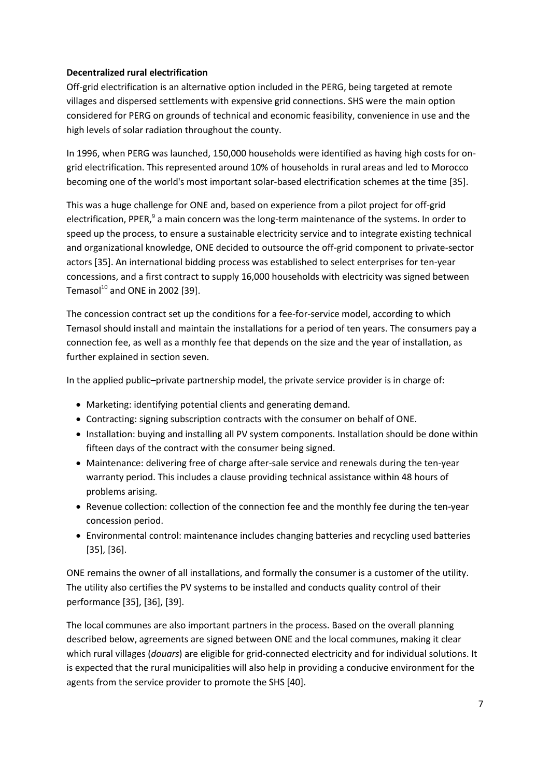## **Decentralized rural electrification**

Off-grid electrification is an alternative option included in the PERG, being targeted at remote villages and dispersed settlements with expensive grid connections. SHS were the main option considered for PERG on grounds of technical and economic feasibility, convenience in use and the high levels of solar radiation throughout the county.

In 1996, when PERG was launched, 150,000 households were identified as having high costs for ongrid electrification. This represented around 10% of households in rural areas and led to Morocco becoming one of the world's most important solar-based electrification schemes at the time [35].

This was a huge challenge for ONE and, based on experience from a pilot project for off-grid electrification, PPER,<sup>9</sup> a main concern was the long-term maintenance of the systems. In order to speed up the process, to ensure a sustainable electricity service and to integrate existing technical and organizational knowledge, ONE decided to outsource the off-grid component to private-sector actors [35]. An international bidding process was established to select enterprises for ten-year concessions, and a first contract to supply 16,000 households with electricity was signed between Temasol $^{10}$  and ONE in 2002 [39].

The concession contract set up the conditions for a fee-for-service model, according to which Temasol should install and maintain the installations for a period of ten years. The consumers pay a connection fee, as well as a monthly fee that depends on the size and the year of installation, as further explained in section seven.

In the applied public–private partnership model, the private service provider is in charge of:

- Marketing: identifying potential clients and generating demand.
- Contracting: signing subscription contracts with the consumer on behalf of ONE.
- Installation: buying and installing all PV system components. Installation should be done within fifteen days of the contract with the consumer being signed.
- Maintenance: delivering free of charge after-sale service and renewals during the ten-year warranty period. This includes a clause providing technical assistance within 48 hours of problems arising.
- Revenue collection: collection of the connection fee and the monthly fee during the ten-year concession period.
- Environmental control: maintenance includes changing batteries and recycling used batteries [35], [36].

ONE remains the owner of all installations, and formally the consumer is a customer of the utility. The utility also certifies the PV systems to be installed and conducts quality control of their performance [35], [36], [39].

The local communes are also important partners in the process. Based on the overall planning described below, agreements are signed between ONE and the local communes, making it clear which rural villages (*douars*) are eligible for grid-connected electricity and for individual solutions. It is expected that the rural municipalities will also help in providing a conducive environment for the agents from the service provider to promote the SHS [40].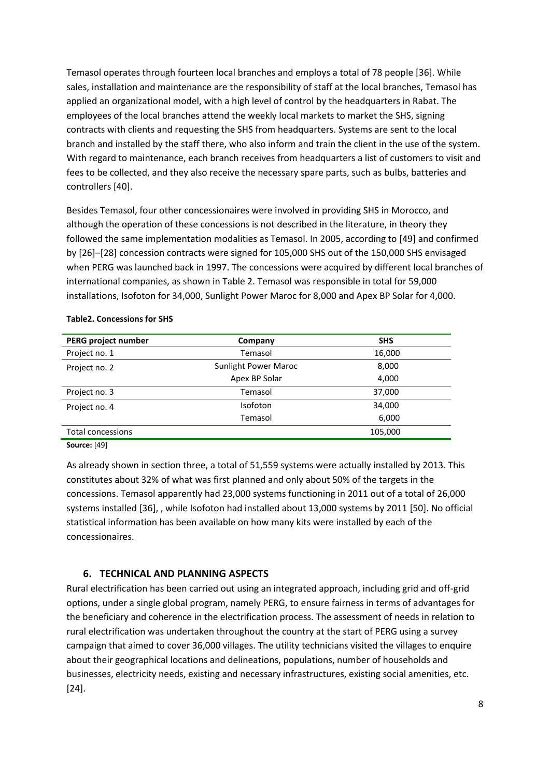Temasol operates through fourteen local branches and employs a total of 78 people [36]. While sales, installation and maintenance are the responsibility of staff at the local branches, Temasol has applied an organizational model, with a high level of control by the headquarters in Rabat. The employees of the local branches attend the weekly local markets to market the SHS, signing contracts with clients and requesting the SHS from headquarters. Systems are sent to the local branch and installed by the staff there, who also inform and train the client in the use of the system. With regard to maintenance, each branch receives from headquarters a list of customers to visit and fees to be collected, and they also receive the necessary spare parts, such as bulbs, batteries and controllers [40].

Besides Temasol, four other concessionaires were involved in providing SHS in Morocco, and although the operation of these concessions is not described in the literature, in theory they followed the same implementation modalities as Temasol. In 2005, according to [49] and confirmed by [26]–[28] concession contracts were signed for 105,000 SHS out of the 150,000 SHS envisaged when PERG was launched back in 1997. The concessions were acquired by different local branches of international companies, as shown in Table 2. Temasol was responsible in total for 59,000 installations, Isofoton for 34,000, Sunlight Power Maroc for 8,000 and Apex BP Solar for 4,000.

| PERG project number | Company                     | <b>SHS</b> |
|---------------------|-----------------------------|------------|
| Project no. 1       | Temasol                     | 16,000     |
| Project no. 2       | <b>Sunlight Power Maroc</b> | 8,000      |
|                     | Apex BP Solar               | 4,000      |
| Project no. 3       | Temasol                     | 37,000     |
| Project no. 4       | <b>Isofoton</b>             | 34,000     |
|                     | Temasol                     | 6,000      |
| Total concessions   |                             | 105,000    |
| <b>Source: [49]</b> |                             |            |

#### **Table2. Concessions for SHS**

As already shown in section three, a total of 51,559 systems were actually installed by 2013. This constitutes about 32% of what was first planned and only about 50% of the targets in the concessions. Temasol apparently had 23,000 systems functioning in 2011 out of a total of 26,000 systems installed [36], , while Isofoton had installed about 13,000 systems by 2011 [50]. No official statistical information has been available on how many kits were installed by each of the concessionaires.

#### **6. TECHNICAL AND PLANNING ASPECTS**

Rural electrification has been carried out using an integrated approach, including grid and off-grid options, under a single global program, namely PERG, to ensure fairness in terms of advantages for the beneficiary and coherence in the electrification process. The assessment of needs in relation to rural electrification was undertaken throughout the country at the start of PERG using a survey campaign that aimed to cover 36,000 villages. The utility technicians visited the villages to enquire about their geographical locations and delineations, populations, number of households and businesses, electricity needs, existing and necessary infrastructures, existing social amenities, etc. [24].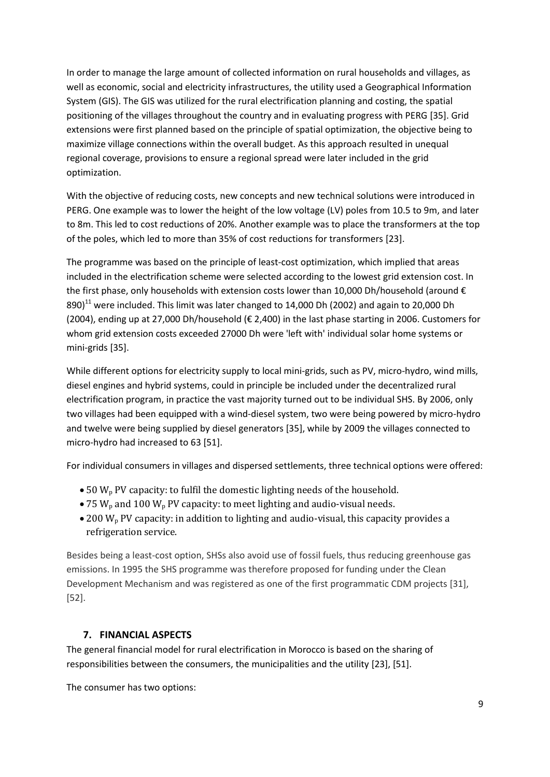In order to manage the large amount of collected information on rural households and villages, as well as economic, social and electricity infrastructures, the utility used a Geographical Information System (GIS). The GIS was utilized for the rural electrification planning and costing, the spatial positioning of the villages throughout the country and in evaluating progress with PERG [35]. Grid extensions were first planned based on the principle of spatial optimization, the objective being to maximize village connections within the overall budget. As this approach resulted in unequal regional coverage, provisions to ensure a regional spread were later included in the grid optimization.

With the objective of reducing costs, new concepts and new technical solutions were introduced in PERG. One example was to lower the height of the low voltage (LV) poles from 10.5 to 9m, and later to 8m. This led to cost reductions of 20%. Another example was to place the transformers at the top of the poles, which led to more than 35% of cost reductions for transformers [23].

The programme was based on the principle of least-cost optimization, which implied that areas included in the electrification scheme were selected according to the lowest grid extension cost. In the first phase, only households with extension costs lower than 10,000 Dh/household (around € 890)<sup>11</sup> were included. This limit was later changed to 14,000 Dh (2002) and again to 20,000 Dh (2004), ending up at 27,000 Dh/household (€ 2,400) in the last phase starting in 2006. Customers for whom grid extension costs exceeded 27000 Dh were 'left with' individual solar home systems or mini-grids [35].

While different options for electricity supply to local mini-grids, such as PV, micro-hydro, wind mills, diesel engines and hybrid systems, could in principle be included under the decentralized rural electrification program, in practice the vast majority turned out to be individual SHS. By 2006, only two villages had been equipped with a wind-diesel system, two were being powered by micro-hydro and twelve were being supplied by diesel generators [35], while by 2009 the villages connected to micro-hydro had increased to 63 [51].

For individual consumers in villages and dispersed settlements, three technical options were offered:

- $\bullet$  50 W<sub>p</sub> PV capacity: to fulfil the domestic lighting needs of the household.
- 75  $W_p$  and 100  $W_p$  PV capacity: to meet lighting and audio-visual needs.
- $\bullet$  200 W<sub>p</sub> PV capacity: in addition to lighting and audio-visual, this capacity provides a refrigeration service.

Besides being a least-cost option, SHSs also avoid use of fossil fuels, thus reducing greenhouse gas emissions. In 1995 the SHS programme was therefore proposed for funding under the Clean Development Mechanism and was registered as one of the first programmatic CDM projects [31], [52].

#### **7. FINANCIAL ASPECTS**

The general financial model for rural electrification in Morocco is based on the sharing of responsibilities between the consumers, the municipalities and the utility [23], [51].

The consumer has two options: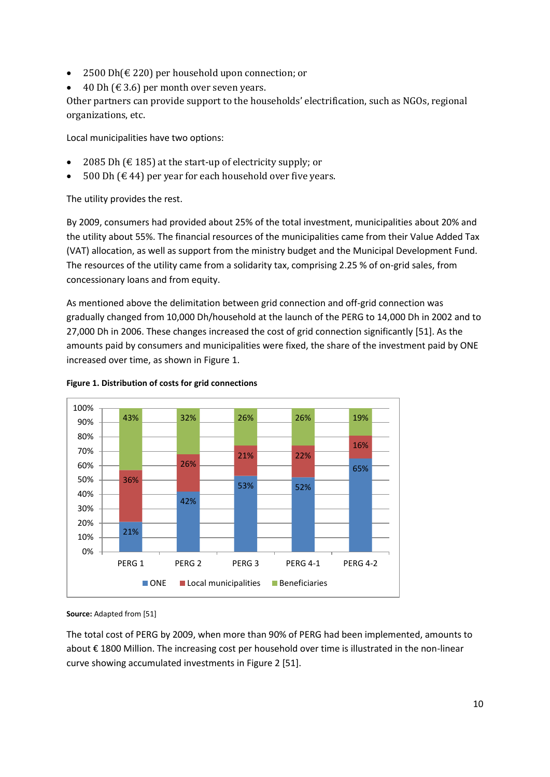- 2500 Dh(€ 220) per household upon connection; or
- 40 Dh ( $\in$  3.6) per month over seven years.

Other partners can provide support to the households' electrification, such as NGOs, regional organizations, etc.

Local municipalities have two options:

- 2085 Dh ( $\text{\textsterling}$  185) at the start-up of electricity supply; or
- 500 Dh ( $€$  44) per year for each household over five years.

The utility provides the rest.

By 2009, consumers had provided about 25% of the total investment, municipalities about 20% and the utility about 55%. The financial resources of the municipalities came from their Value Added Tax (VAT) allocation, as well as support from the ministry budget and the Municipal Development Fund. The resources of the utility came from a solidarity tax, comprising 2.25 % of on-grid sales, from concessionary loans and from equity.

As mentioned above the delimitation between grid connection and off-grid connection was gradually changed from 10,000 Dh/household at the launch of the PERG to 14,000 Dh in 2002 and to 27,000 Dh in 2006. These changes increased the cost of grid connection significantly [51]. As the amounts paid by consumers and municipalities were fixed, the share of the investment paid by ONE increased over time, as shown in Figure 1.





#### **Source:** Adapted from [51]

The total cost of PERG by 2009, when more than 90% of PERG had been implemented, amounts to about € 1800 Million. The increasing cost per household over time is illustrated in the non-linear curve showing accumulated investments in Figure 2 [51].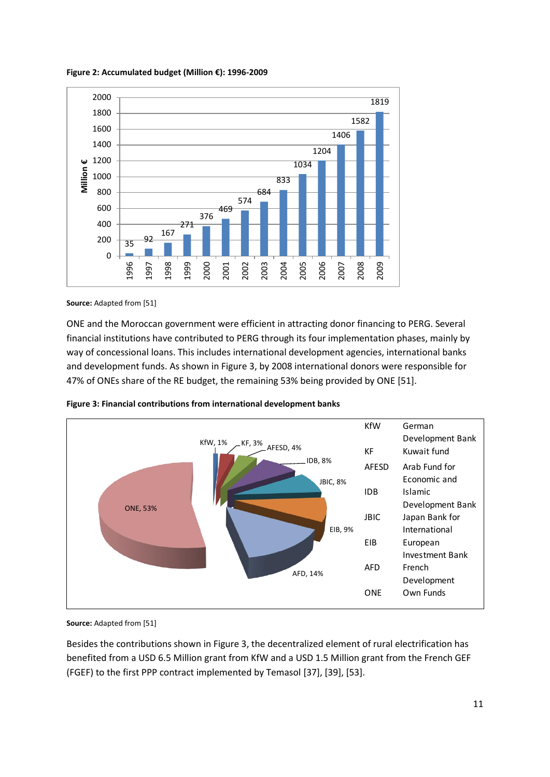**Figure 2: Accumulated budget (Million €): 1996-2009** 



**Source:** Adapted from [51]

ONE and the Moroccan government were efficient in attracting donor financing to PERG. Several financial institutions have contributed to PERG through its four implementation phases, mainly by way of concessional loans. This includes international development agencies, international banks and development funds. As shown in Figure 3, by 2008 international donors were responsible for 47% of ONEs share of the RE budget, the remaining 53% being provided by ONE [51].





**Source:** Adapted from [51]

Besides the contributions shown in Figure 3, the decentralized element of rural electrification has benefited from a USD 6.5 Million grant from KfW and a USD 1.5 Million grant from the French GEF (FGEF) to the first PPP contract implemented by Temasol [37], [39], [53].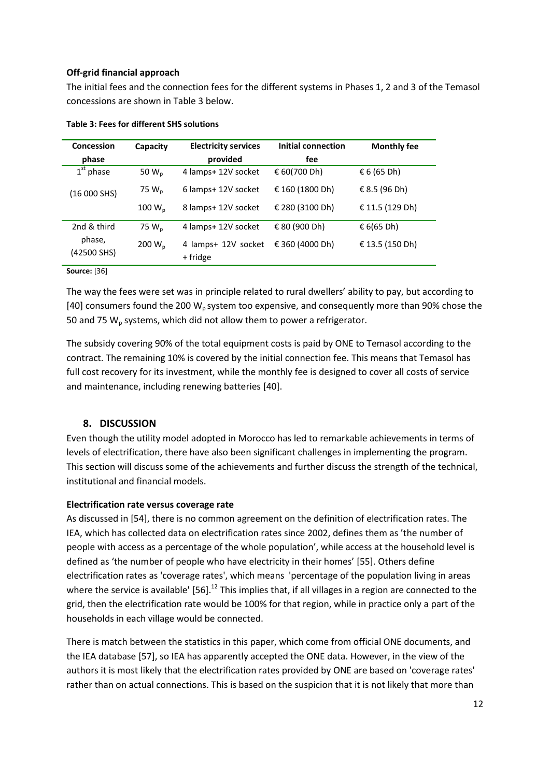#### **Off-grid financial approach**

The initial fees and the connection fees for the different systems in Phases 1, 2 and 3 of the Temasol concessions are shown in Table 3 below.

| Concession<br>phase   | Capacity           | <b>Electricity services</b><br>provided | Initial connection<br>fee | <b>Monthly fee</b>   |
|-----------------------|--------------------|-----------------------------------------|---------------------------|----------------------|
| $1st$ phase           | 50 $W_p$           | 4 lamps+ 12V socket                     | € 60(700 Dh)              | $\epsilon$ 6 (65 Dh) |
| (16 000 SHS)          | 75 $W_p$           | 6 lamps+ 12V socket                     | € 160 (1800 Dh)           | € 8.5 (96 Dh)        |
|                       | 100 W <sub>n</sub> | 8 lamps+ 12V socket                     | € 280 (3100 Dh)           | € 11.5 (129 Dh)      |
| 2nd & third           | 75 $W_p$           | 4 lamps+ 12V socket                     | € 80 (900 Dh)             | € 6(65 Dh)           |
| phase,<br>(42500 SHS) | 200 $W_p$          | 4 lamps+ 12V socket<br>+ fridge         | € 360 (4000 Dh)           | € 13.5 (150 Dh)      |

#### **Table 3: Fees for different SHS solutions**

#### **Source:** [36]

The way the fees were set was in principle related to rural dwellers' ability to pay, but according to [40] consumers found the 200  $W_p$  system too expensive, and consequently more than 90% chose the 50 and 75  $W_p$  systems, which did not allow them to power a refrigerator.

The subsidy covering 90% of the total equipment costs is paid by ONE to Temasol according to the contract. The remaining 10% is covered by the initial connection fee. This means that Temasol has full cost recovery for its investment, while the monthly fee is designed to cover all costs of service and maintenance, including renewing batteries [40].

## **8. DISCUSSION**

Even though the utility model adopted in Morocco has led to remarkable achievements in terms of levels of electrification, there have also been significant challenges in implementing the program. This section will discuss some of the achievements and further discuss the strength of the technical, institutional and financial models.

#### **Electrification rate versus coverage rate**

As discussed in [54], there is no common agreement on the definition of electrification rates. The IEA, which has collected data on electrification rates since 2002, defines them as 'the number of people with access as a percentage of the whole population', while access at the household level is defined as 'the number of people who have electricity in their homes' [55]. Others define electrification rates as 'coverage rates', which means 'percentage of the population living in areas where the service is available' [56].<sup>12</sup> This implies that, if all villages in a region are connected to the grid, then the electrification rate would be 100% for that region, while in practice only a part of the households in each village would be connected.

There is match between the statistics in this paper, which come from official ONE documents, and the IEA database [57], so IEA has apparently accepted the ONE data. However, in the view of the authors it is most likely that the electrification rates provided by ONE are based on 'coverage rates' rather than on actual connections. This is based on the suspicion that it is not likely that more than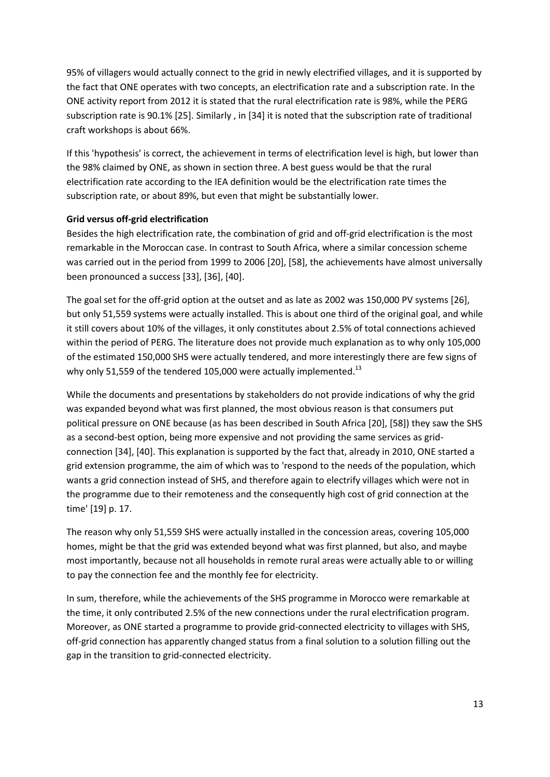95% of villagers would actually connect to the grid in newly electrified villages, and it is supported by the fact that ONE operates with two concepts, an electrification rate and a subscription rate. In the ONE activity report from 2012 it is stated that the rural electrification rate is 98%, while the PERG subscription rate is 90.1% [25]. Similarly , in [34] it is noted that the subscription rate of traditional craft workshops is about 66%.

If this 'hypothesis' is correct, the achievement in terms of electrification level is high, but lower than the 98% claimed by ONE, as shown in section three. A best guess would be that the rural electrification rate according to the IEA definition would be the electrification rate times the subscription rate, or about 89%, but even that might be substantially lower.

## **Grid versus off-grid electrification**

Besides the high electrification rate, the combination of grid and off-grid electrification is the most remarkable in the Moroccan case. In contrast to South Africa, where a similar concession scheme was carried out in the period from 1999 to 2006 [20], [58], the achievements have almost universally been pronounced a success [33], [36], [40].

The goal set for the off-grid option at the outset and as late as 2002 was 150,000 PV systems [26], but only 51,559 systems were actually installed. This is about one third of the original goal, and while it still covers about 10% of the villages, it only constitutes about 2.5% of total connections achieved within the period of PERG. The literature does not provide much explanation as to why only 105,000 of the estimated 150,000 SHS were actually tendered, and more interestingly there are few signs of why only 51,559 of the tendered 105,000 were actually implemented.<sup>13</sup>

While the documents and presentations by stakeholders do not provide indications of why the grid was expanded beyond what was first planned, the most obvious reason is that consumers put political pressure on ONE because (as has been described in South Africa [20], [58]) they saw the SHS as a second-best option, being more expensive and not providing the same services as gridconnection [34], [40]. This explanation is supported by the fact that, already in 2010, ONE started a grid extension programme, the aim of which was to 'respond to the needs of the population, which wants a grid connection instead of SHS, and therefore again to electrify villages which were not in the programme due to their remoteness and the consequently high cost of grid connection at the time' [19] p. 17.

The reason why only 51,559 SHS were actually installed in the concession areas, covering 105,000 homes, might be that the grid was extended beyond what was first planned, but also, and maybe most importantly, because not all households in remote rural areas were actually able to or willing to pay the connection fee and the monthly fee for electricity.

In sum, therefore, while the achievements of the SHS programme in Morocco were remarkable at the time, it only contributed 2.5% of the new connections under the rural electrification program. Moreover, as ONE started a programme to provide grid-connected electricity to villages with SHS, off-grid connection has apparently changed status from a final solution to a solution filling out the gap in the transition to grid-connected electricity.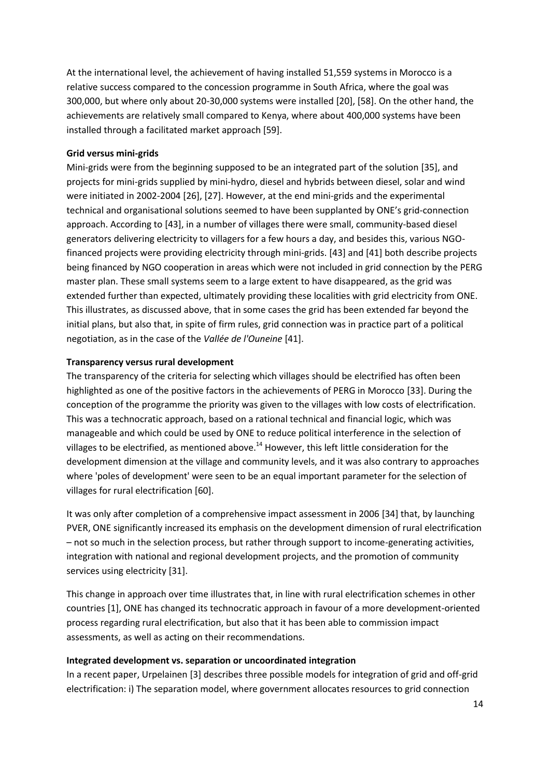At the international level, the achievement of having installed 51,559 systems in Morocco is a relative success compared to the concession programme in South Africa, where the goal was 300,000, but where only about 20-30,000 systems were installed [20], [58]. On the other hand, the achievements are relatively small compared to Kenya, where about 400,000 systems have been installed through a facilitated market approach [59].

#### **Grid versus mini-grids**

Mini-grids were from the beginning supposed to be an integrated part of the solution [35], and projects for mini-grids supplied by mini-hydro, diesel and hybrids between diesel, solar and wind were initiated in 2002-2004 [26], [27]. However, at the end mini-grids and the experimental technical and organisational solutions seemed to have been supplanted by ONE's grid-connection approach. According to [43], in a number of villages there were small, community-based diesel generators delivering electricity to villagers for a few hours a day, and besides this, various NGOfinanced projects were providing electricity through mini-grids. [43] and [41] both describe projects being financed by NGO cooperation in areas which were not included in grid connection by the PERG master plan. These small systems seem to a large extent to have disappeared, as the grid was extended further than expected, ultimately providing these localities with grid electricity from ONE. This illustrates, as discussed above, that in some cases the grid has been extended far beyond the initial plans, but also that, in spite of firm rules, grid connection was in practice part of a political negotiation, as in the case of the *Vallée de l'Ouneine* [41].

#### **Transparency versus rural development**

The transparency of the criteria for selecting which villages should be electrified has often been highlighted as one of the positive factors in the achievements of PERG in Morocco [33]. During the conception of the programme the priority was given to the villages with low costs of electrification. This was a technocratic approach, based on a rational technical and financial logic, which was manageable and which could be used by ONE to reduce political interference in the selection of villages to be electrified, as mentioned above.<sup>14</sup> However, this left little consideration for the development dimension at the village and community levels, and it was also contrary to approaches where 'poles of development' were seen to be an equal important parameter for the selection of villages for rural electrification [60].

It was only after completion of a comprehensive impact assessment in 2006 [34] that, by launching PVER, ONE significantly increased its emphasis on the development dimension of rural electrification – not so much in the selection process, but rather through support to income-generating activities, integration with national and regional development projects, and the promotion of community services using electricity [31].

This change in approach over time illustrates that, in line with rural electrification schemes in other countries [1], ONE has changed its technocratic approach in favour of a more development-oriented process regarding rural electrification, but also that it has been able to commission impact assessments, as well as acting on their recommendations.

#### **Integrated development vs. separation or uncoordinated integration**

In a recent paper, Urpelainen [3] describes three possible models for integration of grid and off-grid electrification: i) The separation model, where government allocates resources to grid connection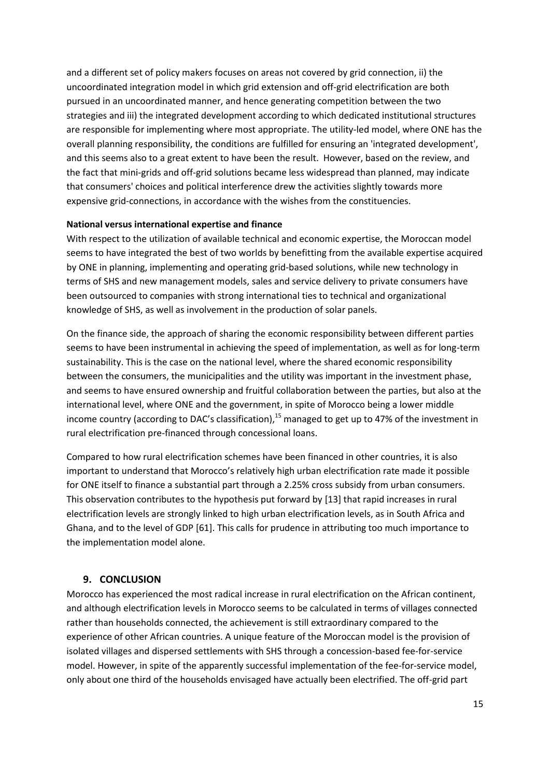and a different set of policy makers focuses on areas not covered by grid connection, ii) the uncoordinated integration model in which grid extension and off-grid electrification are both pursued in an uncoordinated manner, and hence generating competition between the two strategies and iii) the integrated development according to which dedicated institutional structures are responsible for implementing where most appropriate. The utility-led model, where ONE has the overall planning responsibility, the conditions are fulfilled for ensuring an 'integrated development', and this seems also to a great extent to have been the result. However, based on the review, and the fact that mini-grids and off-grid solutions became less widespread than planned, may indicate that consumers' choices and political interference drew the activities slightly towards more expensive grid-connections, in accordance with the wishes from the constituencies.

#### **National versus international expertise and finance**

With respect to the utilization of available technical and economic expertise, the Moroccan model seems to have integrated the best of two worlds by benefitting from the available expertise acquired by ONE in planning, implementing and operating grid-based solutions, while new technology in terms of SHS and new management models, sales and service delivery to private consumers have been outsourced to companies with strong international ties to technical and organizational knowledge of SHS, as well as involvement in the production of solar panels.

On the finance side, the approach of sharing the economic responsibility between different parties seems to have been instrumental in achieving the speed of implementation, as well as for long-term sustainability. This is the case on the national level, where the shared economic responsibility between the consumers, the municipalities and the utility was important in the investment phase, and seems to have ensured ownership and fruitful collaboration between the parties, but also at the international level, where ONE and the government, in spite of Morocco being a lower middle income country (according to DAC's classification),<sup>15</sup> managed to get up to 47% of the investment in rural electrification pre-financed through concessional loans.

Compared to how rural electrification schemes have been financed in other countries, it is also important to understand that Morocco's relatively high urban electrification rate made it possible for ONE itself to finance a substantial part through a 2.25% cross subsidy from urban consumers. This observation contributes to the hypothesis put forward by [13] that rapid increases in rural electrification levels are strongly linked to high urban electrification levels, as in South Africa and Ghana, and to the level of GDP [61]. This calls for prudence in attributing too much importance to the implementation model alone.

#### **9. CONCLUSION**

Morocco has experienced the most radical increase in rural electrification on the African continent, and although electrification levels in Morocco seems to be calculated in terms of villages connected rather than households connected, the achievement is still extraordinary compared to the experience of other African countries. A unique feature of the Moroccan model is the provision of isolated villages and dispersed settlements with SHS through a concession-based fee-for-service model. However, in spite of the apparently successful implementation of the fee-for-service model, only about one third of the households envisaged have actually been electrified. The off-grid part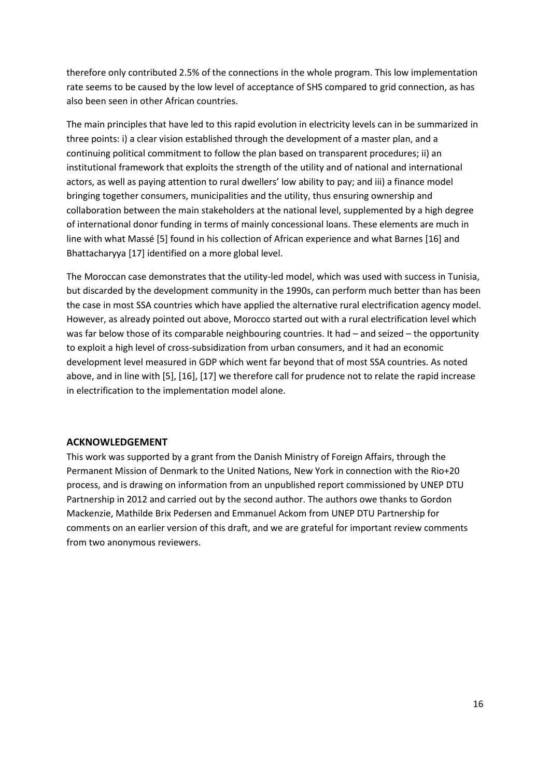therefore only contributed 2.5% of the connections in the whole program. This low implementation rate seems to be caused by the low level of acceptance of SHS compared to grid connection, as has also been seen in other African countries.

The main principles that have led to this rapid evolution in electricity levels can in be summarized in three points: i) a clear vision established through the development of a master plan, and a continuing political commitment to follow the plan based on transparent procedures; ii) an institutional framework that exploits the strength of the utility and of national and international actors, as well as paying attention to rural dwellers' low ability to pay; and iii) a finance model bringing together consumers, municipalities and the utility, thus ensuring ownership and collaboration between the main stakeholders at the national level, supplemented by a high degree of international donor funding in terms of mainly concessional loans. These elements are much in line with what Massé [5] found in his collection of African experience and what Barnes [16] and Bhattacharyya [17] identified on a more global level.

The Moroccan case demonstrates that the utility-led model, which was used with success in Tunisia, but discarded by the development community in the 1990s, can perform much better than has been the case in most SSA countries which have applied the alternative rural electrification agency model. However, as already pointed out above, Morocco started out with a rural electrification level which was far below those of its comparable neighbouring countries. It had - and seized - the opportunity to exploit a high level of cross-subsidization from urban consumers, and it had an economic development level measured in GDP which went far beyond that of most SSA countries. As noted above, and in line with [5], [16], [17] we therefore call for prudence not to relate the rapid increase in electrification to the implementation model alone.

#### **ACKNOWLEDGEMENT**

This work was supported by a grant from the Danish Ministry of Foreign Affairs, through the Permanent Mission of Denmark to the United Nations, New York in connection with the Rio+20 process, and is drawing on information from an unpublished report commissioned by UNEP DTU Partnership in 2012 and carried out by the second author. The authors owe thanks to Gordon Mackenzie, Mathilde Brix Pedersen and Emmanuel Ackom from UNEP DTU Partnership for comments on an earlier version of this draft, and we are grateful for important review comments from two anonymous reviewers.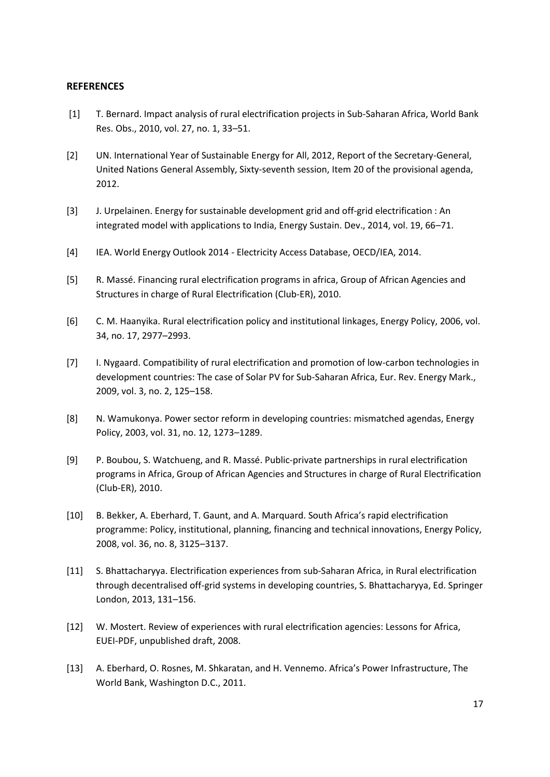#### **REFERENCES**

- [1] T. Bernard. Impact analysis of rural electrification projects in Sub-Saharan Africa, World Bank Res. Obs., 2010, vol. 27, no. 1, 33–51.
- [2] UN. International Year of Sustainable Energy for All, 2012, Report of the Secretary-General, United Nations General Assembly, Sixty-seventh session, Item 20 of the provisional agenda, 2012.
- [3] J. Urpelainen. Energy for sustainable development grid and off-grid electrification : An integrated model with applications to India, Energy Sustain. Dev., 2014, vol. 19, 66–71.
- [4] IEA. World Energy Outlook 2014 Electricity Access Database, OECD/IEA, 2014.
- [5] R. Massé. Financing rural electrification programs in africa, Group of African Agencies and Structures in charge of Rural Electrification (Club-ER), 2010.
- [6] C. M. Haanyika. Rural electrification policy and institutional linkages, Energy Policy, 2006, vol. 34, no. 17, 2977–2993.
- [7] I. Nygaard. Compatibility of rural electrification and promotion of low-carbon technologies in development countries: The case of Solar PV for Sub-Saharan Africa, Eur. Rev. Energy Mark., 2009, vol. 3, no. 2, 125–158.
- [8] N. Wamukonya. Power sector reform in developing countries: mismatched agendas, Energy Policy, 2003, vol. 31, no. 12, 1273–1289.
- [9] P. Boubou, S. Watchueng, and R. Massé. Public-private partnerships in rural electrification programs in Africa, Group of African Agencies and Structures in charge of Rural Electrification (Club-ER), 2010.
- [10] B. Bekker, A. Eberhard, T. Gaunt, and A. Marquard. South Africa's rapid electrification programme: Policy, institutional, planning, financing and technical innovations, Energy Policy, 2008, vol. 36, no. 8, 3125–3137.
- [11] S. Bhattacharyya. Electrification experiences from sub-Saharan Africa, in Rural electrification through decentralised off-grid systems in developing countries, S. Bhattacharyya, Ed. Springer London, 2013, 131–156.
- [12] W. Mostert. Review of experiences with rural electrification agencies: Lessons for Africa, EUEI-PDF, unpublished draft, 2008.
- [13] A. Eberhard, O. Rosnes, M. Shkaratan, and H. Vennemo. Africa's Power Infrastructure, The World Bank, Washington D.C., 2011.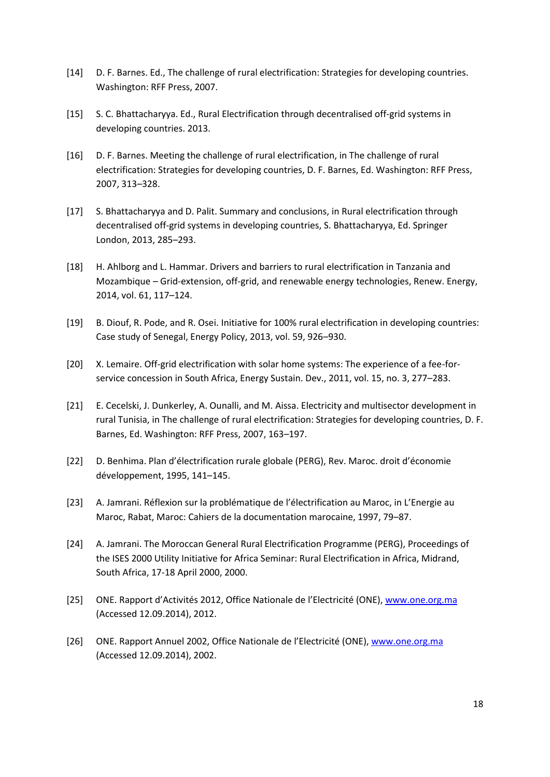- [14] D. F. Barnes. Ed., The challenge of rural electrification: Strategies for developing countries. Washington: RFF Press, 2007.
- [15] S. C. Bhattacharyya. Ed., Rural Electrification through decentralised off-grid systems in developing countries. 2013.
- [16] D. F. Barnes. Meeting the challenge of rural electrification, in The challenge of rural electrification: Strategies for developing countries, D. F. Barnes, Ed. Washington: RFF Press, 2007, 313–328.
- [17] S. Bhattacharyya and D. Palit. Summary and conclusions, in Rural electrification through decentralised off-grid systems in developing countries, S. Bhattacharyya, Ed. Springer London, 2013, 285–293.
- [18] H. Ahlborg and L. Hammar. Drivers and barriers to rural electrification in Tanzania and Mozambique – Grid-extension, off-grid, and renewable energy technologies, Renew. Energy, 2014, vol. 61, 117–124.
- [19] B. Diouf, R. Pode, and R. Osei. Initiative for 100% rural electrification in developing countries: Case study of Senegal, Energy Policy, 2013, vol. 59, 926–930.
- [20] X. Lemaire. Off-grid electrification with solar home systems: The experience of a fee-forservice concession in South Africa, Energy Sustain. Dev., 2011, vol. 15, no. 3, 277–283.
- [21] E. Cecelski, J. Dunkerley, A. Ounalli, and M. Aissa. Electricity and multisector development in rural Tunisia, in The challenge of rural electrification: Strategies for developing countries, D. F. Barnes, Ed. Washington: RFF Press, 2007, 163–197.
- [22] D. Benhima. Plan d'électrification rurale globale (PERG), Rev. Maroc. droit d'économie développement, 1995, 141–145.
- [23] A. Jamrani. Réflexion sur la problématique de l'électrification au Maroc, in L'Energie au Maroc, Rabat, Maroc: Cahiers de la documentation marocaine, 1997, 79–87.
- [24] A. Jamrani. The Moroccan General Rural Electrification Programme (PERG), Proceedings of the ISES 2000 Utility Initiative for Africa Seminar: Rural Electrification in Africa, Midrand, South Africa, 17-18 April 2000, 2000.
- [25] ONE. Rapport d'Activités 2012, Office Nationale de l'Electricité (ONE), [www.one.org.ma](http://www.one.org.ma/) (Accessed 12.09.2014), 2012.
- [26] ONE. Rapport Annuel 2002, Office Nationale de l'Electricité (ONE), [www.one.org.ma](http://www.one.org.ma/) (Accessed 12.09.2014), 2002.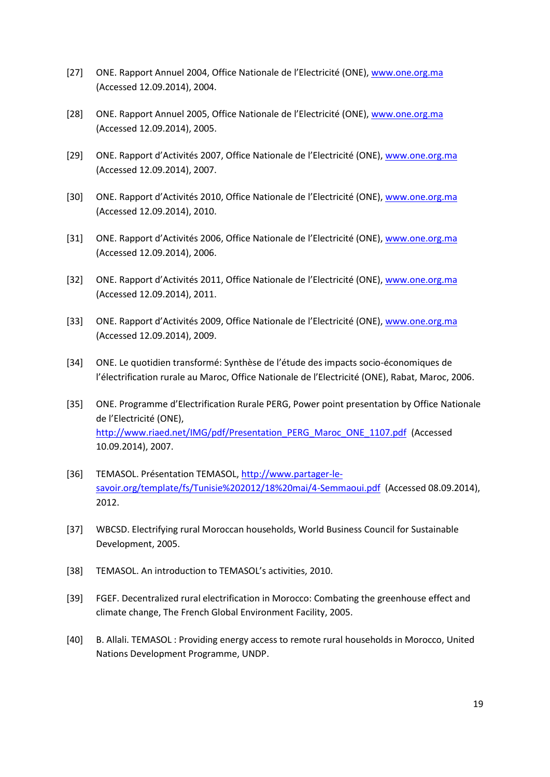- [27] ONE. Rapport Annuel 2004, Office Nationale de l'Electricité (ONE), [www.one.org.ma](http://www.one.org.ma/) (Accessed 12.09.2014), 2004.
- [28] ONE. Rapport Annuel 2005, Office Nationale de l'Electricité (ONE), [www.one.org.ma](http://www.one.org.ma/) (Accessed 12.09.2014), 2005.
- [29] ONE. Rapport d'Activités 2007, Office Nationale de l'Electricité (ONE), [www.one.org.ma](http://www.one.org.ma/) (Accessed 12.09.2014), 2007.
- [30] ONE. Rapport d'Activités 2010, Office Nationale de l'Electricité (ONE), [www.one.org.ma](http://www.one.org.ma/) (Accessed 12.09.2014), 2010.
- [31] ONE. Rapport d'Activités 2006, Office Nationale de l'Electricité (ONE), [www.one.org.ma](http://www.one.org.ma/) (Accessed 12.09.2014), 2006.
- [32] ONE. Rapport d'Activités 2011, Office Nationale de l'Electricité (ONE), [www.one.org.ma](http://www.one.org.ma/) (Accessed 12.09.2014), 2011.
- [33] ONE. Rapport d'Activités 2009, Office Nationale de l'Electricité (ONE), [www.one.org.ma](http://www.one.org.ma/) (Accessed 12.09.2014), 2009.
- [34] ONE. Le quotidien transformé: Synthèse de l'étude des impacts socio-économiques de l'électrification rurale au Maroc, Office Nationale de l'Electricité (ONE), Rabat, Maroc, 2006.
- [35] ONE. Programme d'Electrification Rurale PERG, Power point presentation by Office Nationale de l'Electricité (ONE), [http://www.riaed.net/IMG/pdf/Presentation\\_PERG\\_Maroc\\_ONE\\_1107.pdf](http://www.riaed.net/IMG/pdf/Presentation_PERG_Maroc_ONE_1107.pdf) (Accessed 10.09.2014), 2007.
- [36] TEMASOL. Présentation TEMASOL, [http://www.partager-le](http://www.partager-le-savoir.org/template/fs/Tunisie%202012/18%20mai/4-Semmaoui.pdf)[savoir.org/template/fs/Tunisie%202012/18%20mai/4-Semmaoui.pdf](http://www.partager-le-savoir.org/template/fs/Tunisie%202012/18%20mai/4-Semmaoui.pdf) (Accessed 08.09.2014), 2012.
- [37] WBCSD. Electrifying rural Moroccan households, World Business Council for Sustainable Development, 2005.
- [38] TEMASOL. An introduction to TEMASOL's activities, 2010.
- [39] FGEF. Decentralized rural electrification in Morocco: Combating the greenhouse effect and climate change, The French Global Environment Facility, 2005.
- [40] B. Allali. TEMASOL : Providing energy access to remote rural households in Morocco, United Nations Development Programme, UNDP.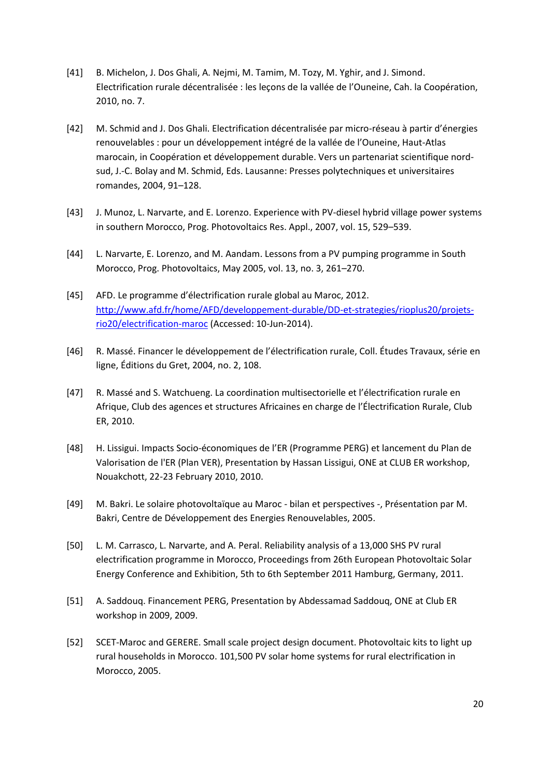- [41] B. Michelon, J. Dos Ghali, A. Nejmi, M. Tamim, M. Tozy, M. Yghir, and J. Simond. Electrification rurale décentralisée : les leçons de la vallée de l'Ouneine, Cah. la Coopération, 2010, no. 7.
- [42] M. Schmid and J. Dos Ghali. Electrification décentralisée par micro-réseau à partir d'énergies renouvelables : pour un développement intégré de la vallée de l'Ouneine, Haut-Atlas marocain, in Coopération et développement durable. Vers un partenariat scientifique nordsud, J.-C. Bolay and M. Schmid, Eds. Lausanne: Presses polytechniques et universitaires romandes, 2004, 91–128.
- [43] J. Munoz, L. Narvarte, and E. Lorenzo. Experience with PV-diesel hybrid village power systems in southern Morocco, Prog. Photovoltaics Res. Appl., 2007, vol. 15, 529–539.
- [44] L. Narvarte, E. Lorenzo, and M. Aandam. Lessons from a PV pumping programme in South Morocco, Prog. Photovoltaics, May 2005, vol. 13, no. 3, 261–270.
- [45] AFD. Le programme d'électrification rurale global au Maroc, 2012. [http://www.afd.fr/home/AFD/developpement-durable/DD-et-strategies/rioplus20/projets](http://www.afd.fr/home/AFD/developpement-durable/DD-et-strategies/rioplus20/projets-rio20/electrification-maroc)[rio20/electrification-maroc](http://www.afd.fr/home/AFD/developpement-durable/DD-et-strategies/rioplus20/projets-rio20/electrification-maroc) (Accessed: 10-Jun-2014).
- [46] R. Massé. Financer le développement de l'électrification rurale, Coll. Études Travaux, série en ligne, Éditions du Gret, 2004, no. 2, 108.
- [47] R. Massé and S. Watchueng. La coordination multisectorielle et l'électrification rurale en Afrique, Club des agences et structures Africaines en charge de l'Électrification Rurale, Club ER, 2010.
- [48] H. Lissigui. Impacts Socio-économiques de l'ER (Programme PERG) et lancement du Plan de Valorisation de l'ER (Plan VER), Presentation by Hassan Lissigui, ONE at CLUB ER workshop, Nouakchott, 22-23 February 2010, 2010.
- [49] M. Bakri. Le solaire photovoltaïque au Maroc bilan et perspectives -, Présentation par M. Bakri, Centre de Développement des Energies Renouvelables, 2005.
- [50] L. M. Carrasco, L. Narvarte, and A. Peral. Reliability analysis of a 13,000 SHS PV rural electrification programme in Morocco, Proceedings from 26th European Photovoltaic Solar Energy Conference and Exhibition, 5th to 6th September 2011 Hamburg, Germany, 2011.
- [51] A. Saddouq. Financement PERG, Presentation by Abdessamad Saddouq, ONE at Club ER workshop in 2009, 2009.
- [52] SCET-Maroc and GERERE. Small scale project design document. Photovoltaic kits to light up rural households in Morocco. 101,500 PV solar home systems for rural electrification in Morocco, 2005.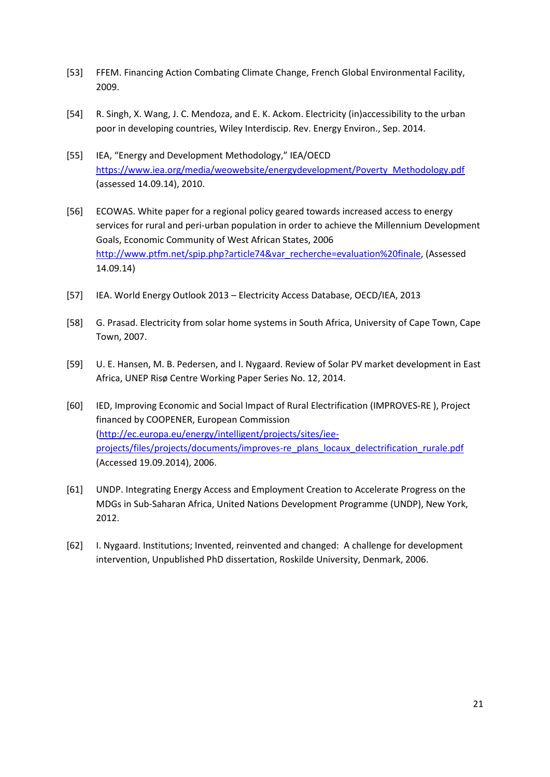- [53] FFEM. Financing Action Combating Climate Change, French Global Environmental Facility, 2009.
- [54] R. Singh, X. Wang, J. C. Mendoza, and E. K. Ackom. Electricity (in)accessibility to the urban poor in developing countries, Wiley Interdiscip. Rev. Energy Environ., Sep. 2014.
- [55] IEA, "Energy and Development Methodology," IEA/OECD [https://www.iea.org/media/weowebsite/energydevelopment/Poverty\\_Methodology.pdf](https://www.iea.org/media/weowebsite/energydevelopment/Poverty_Methodology.pdf) (assessed 14.09.14), 2010.
- [56] ECOWAS. White paper for a regional policy geared towards increased access to energy services for rural and peri-urban population in order to achieve the Millennium Development Goals, Economic Community of West African States, 2006 [http://www.ptfm.net/spip.php?article74&var\\_recherche=evaluation%20finale,](http://www.ptfm.net/spip.php?article74&var_recherche=evaluation%20finale) (Assessed 14.09.14)
- [57] IEA. World Energy Outlook 2013 Electricity Access Database, OECD/IEA, 2013
- [58] G. Prasad. Electricity from solar home systems in South Africa, University of Cape Town, Cape Town, 2007.
- [59] U. E. Hansen, M. B. Pedersen, and I. Nygaard. Review of Solar PV market development in East Africa, UNEP Risø Centre Working Paper Series No. 12, 2014.
- [60] IED, Improving Economic and Social Impact of Rural Electrification (IMPROVES-RE ), Project financed by COOPENER, European Commission [\(http://ec.europa.eu/energy/intelligent/projects/sites/iee](http://ec.europa.eu/energy/intelligent/projects/sites/iee-projects/files/projects/documents/improves-re_plans_locaux_delectrification_rurale.pdf)[projects/files/projects/documents/improves-re\\_plans\\_locaux\\_delectrification\\_rurale.pdf](http://ec.europa.eu/energy/intelligent/projects/sites/iee-projects/files/projects/documents/improves-re_plans_locaux_delectrification_rurale.pdf) (Accessed 19.09.2014), 2006.
- [61] UNDP. Integrating Energy Access and Employment Creation to Accelerate Progress on the MDGs in Sub-Saharan Africa, United Nations Development Programme (UNDP), New York, 2012.
- [62] I. Nygaard. Institutions; Invented, reinvented and changed: A challenge for development intervention, Unpublished PhD dissertation, Roskilde University, Denmark, 2006.